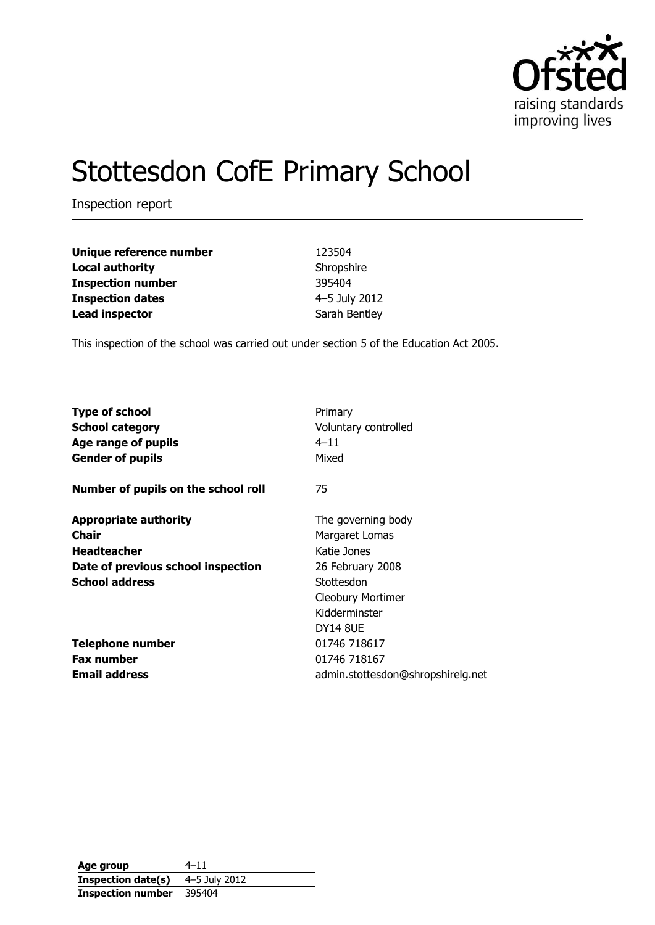

# Stottesdon CofE Primary School

Inspection report

| Unique reference number  | 123504        |
|--------------------------|---------------|
| <b>Local authority</b>   | Shropshire    |
| <b>Inspection number</b> | 395404        |
| <b>Inspection dates</b>  | 4-5 July 2012 |
| <b>Lead inspector</b>    | Sarah Bentley |

This inspection of the school was carried out under section 5 of the Education Act 2005.

| <b>Type of school</b>                                                                                                             | Primary                                                                                                                                        |
|-----------------------------------------------------------------------------------------------------------------------------------|------------------------------------------------------------------------------------------------------------------------------------------------|
| <b>School category</b>                                                                                                            | Voluntary controlled                                                                                                                           |
| Age range of pupils                                                                                                               | $4 - 11$                                                                                                                                       |
| <b>Gender of pupils</b>                                                                                                           | Mixed                                                                                                                                          |
| Number of pupils on the school roll                                                                                               | 75                                                                                                                                             |
| <b>Appropriate authority</b><br><b>Chair</b><br><b>Headteacher</b><br>Date of previous school inspection<br><b>School address</b> | The governing body<br>Margaret Lomas<br>Katie Jones<br>26 February 2008<br>Stottesdon<br><b>Cleobury Mortimer</b><br>Kidderminster<br>DY14 8UE |
| <b>Telephone number</b>                                                                                                           | 01746 718617                                                                                                                                   |
| <b>Fax number</b>                                                                                                                 | 01746 718167                                                                                                                                   |
| <b>Email address</b>                                                                                                              | admin.stottesdon@shropshirelg.net                                                                                                              |

**Age group** 4–11 **Inspection date(s)** 4–5 July 2012 **Inspection number** 395404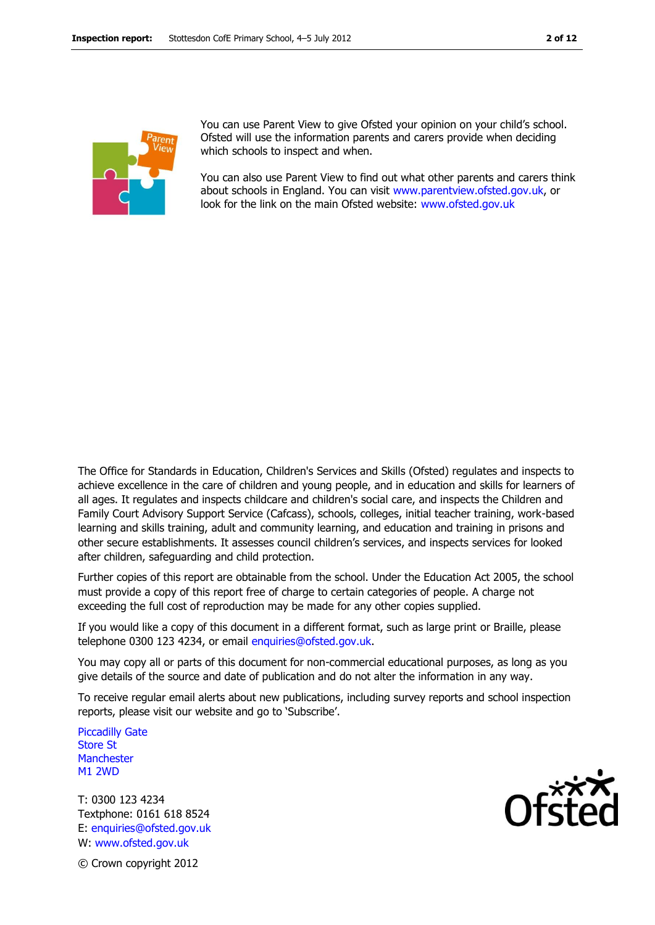

You can use Parent View to give Ofsted your opinion on your child's school. Ofsted will use the information parents and carers provide when deciding which schools to inspect and when.

You can also use Parent View to find out what other parents and carers think about schools in England. You can visit [www.parentview.ofsted.gov.uk,](http://www.parentview.ofsted.gov.uk/) or look for the link on the main Ofsted website: [www.ofsted.gov.uk](http://www.ofsted.gov.uk/)

The Office for Standards in Education, Children's Services and Skills (Ofsted) regulates and inspects to achieve excellence in the care of children and young people, and in education and skills for learners of all ages. It regulates and inspects childcare and children's social care, and inspects the Children and Family Court Advisory Support Service (Cafcass), schools, colleges, initial teacher training, work-based learning and skills training, adult and community learning, and education and training in prisons and other secure establishments. It assesses council children's services, and inspects services for looked after children, safeguarding and child protection.

Further copies of this report are obtainable from the school. Under the Education Act 2005, the school must provide a copy of this report free of charge to certain categories of people. A charge not exceeding the full cost of reproduction may be made for any other copies supplied.

If you would like a copy of this document in a different format, such as large print or Braille, please telephone 0300 123 4234, or email enquiries@ofsted.gov.uk.

You may copy all or parts of this document for non-commercial educational purposes, as long as you give details of the source and date of publication and do not alter the information in any way.

To receive regular email alerts about new publications, including survey reports and school inspection reports, please visit our website and go to 'Subscribe'.

Piccadilly Gate Store St **Manchester** M1 2WD

T: 0300 123 4234 Textphone: 0161 618 8524 E: enquiries@ofsted.gov.uk W: www.ofsted.gov.uk



© Crown copyright 2012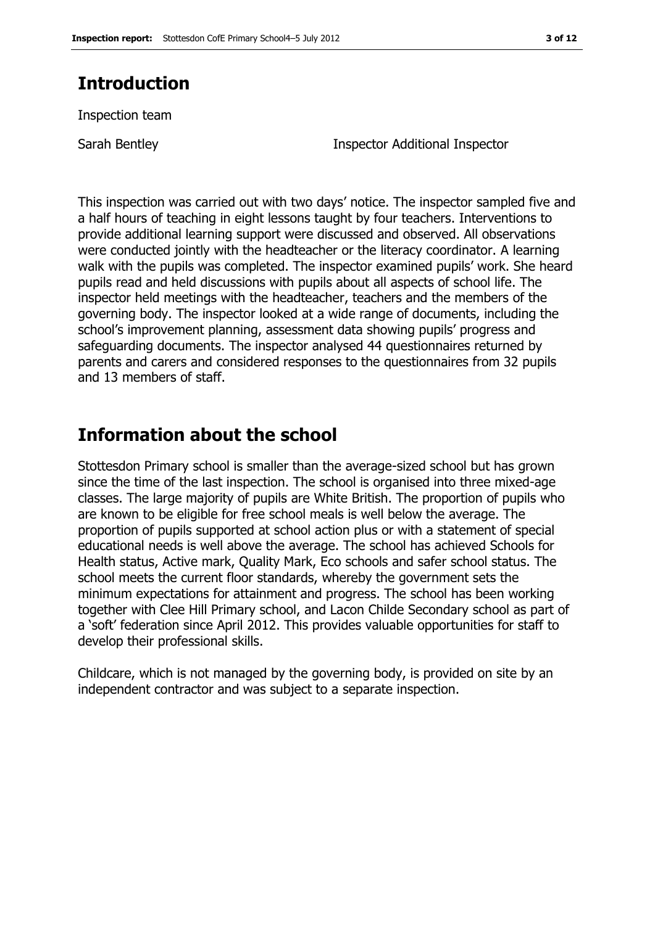## **Introduction**

Inspection team

Sarah Bentley Inspector Additional Inspector

This inspection was carried out with two days' notice. The inspector sampled five and a half hours of teaching in eight lessons taught by four teachers. Interventions to provide additional learning support were discussed and observed. All observations were conducted jointly with the headteacher or the literacy coordinator. A learning walk with the pupils was completed. The inspector examined pupils' work. She heard pupils read and held discussions with pupils about all aspects of school life. The inspector held meetings with the headteacher, teachers and the members of the governing body. The inspector looked at a wide range of documents, including the school's improvement planning, assessment data showing pupils' progress and safeguarding documents. The inspector analysed 44 questionnaires returned by parents and carers and considered responses to the questionnaires from 32 pupils and 13 members of staff.

## **Information about the school**

Stottesdon Primary school is smaller than the average-sized school but has grown since the time of the last inspection. The school is organised into three mixed-age classes. The large majority of pupils are White British. The proportion of pupils who are known to be eligible for free school meals is well below the average. The proportion of pupils supported at school action plus or with a statement of special educational needs is well above the average. The school has achieved Schools for Health status, Active mark, Quality Mark, Eco schools and safer school status. The school meets the current floor standards, whereby the government sets the minimum expectations for attainment and progress. The school has been working together with Clee Hill Primary school, and Lacon Childe Secondary school as part of a 'soft' federation since April 2012. This provides valuable opportunities for staff to develop their professional skills.

Childcare, which is not managed by the governing body, is provided on site by an independent contractor and was subject to a separate inspection.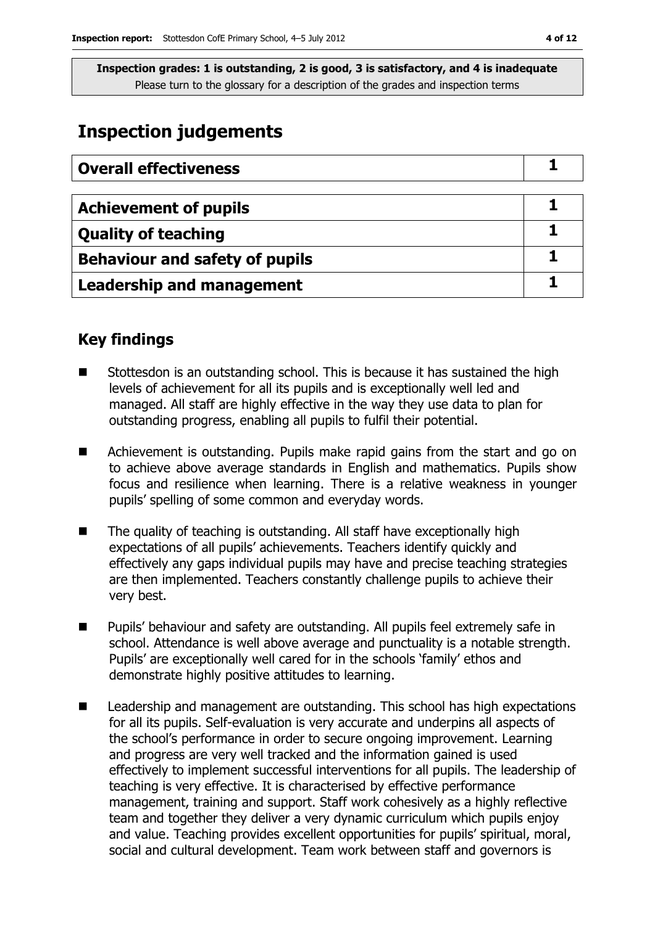## **Inspection judgements**

| <b>Overall effectiveness</b>          |  |
|---------------------------------------|--|
|                                       |  |
| <b>Achievement of pupils</b>          |  |
| <b>Quality of teaching</b>            |  |
| <b>Behaviour and safety of pupils</b> |  |
| <b>Leadership and management</b>      |  |

## **Key findings**

- Stottesdon is an outstanding school. This is because it has sustained the high levels of achievement for all its pupils and is exceptionally well led and managed. All staff are highly effective in the way they use data to plan for outstanding progress, enabling all pupils to fulfil their potential.
- **E** Achievement is outstanding. Pupils make rapid gains from the start and go on to achieve above average standards in English and mathematics. Pupils show focus and resilience when learning. There is a relative weakness in younger pupils' spelling of some common and everyday words.
- The quality of teaching is outstanding. All staff have exceptionally high expectations of all pupils' achievements. Teachers identify quickly and effectively any gaps individual pupils may have and precise teaching strategies are then implemented. Teachers constantly challenge pupils to achieve their very best.
- **Pupils' behaviour and safety are outstanding. All pupils feel extremely safe in** school. Attendance is well above average and punctuality is a notable strength. Pupils' are exceptionally well cared for in the schools 'family' ethos and demonstrate highly positive attitudes to learning.
- Leadership and management are outstanding. This school has high expectations for all its pupils. Self-evaluation is very accurate and underpins all aspects of the school's performance in order to secure ongoing improvement. Learning and progress are very well tracked and the information gained is used effectively to implement successful interventions for all pupils. The leadership of teaching is very effective. It is characterised by effective performance management, training and support. Staff work cohesively as a highly reflective team and together they deliver a very dynamic curriculum which pupils enjoy and value. Teaching provides excellent opportunities for pupils' spiritual, moral, social and cultural development. Team work between staff and governors is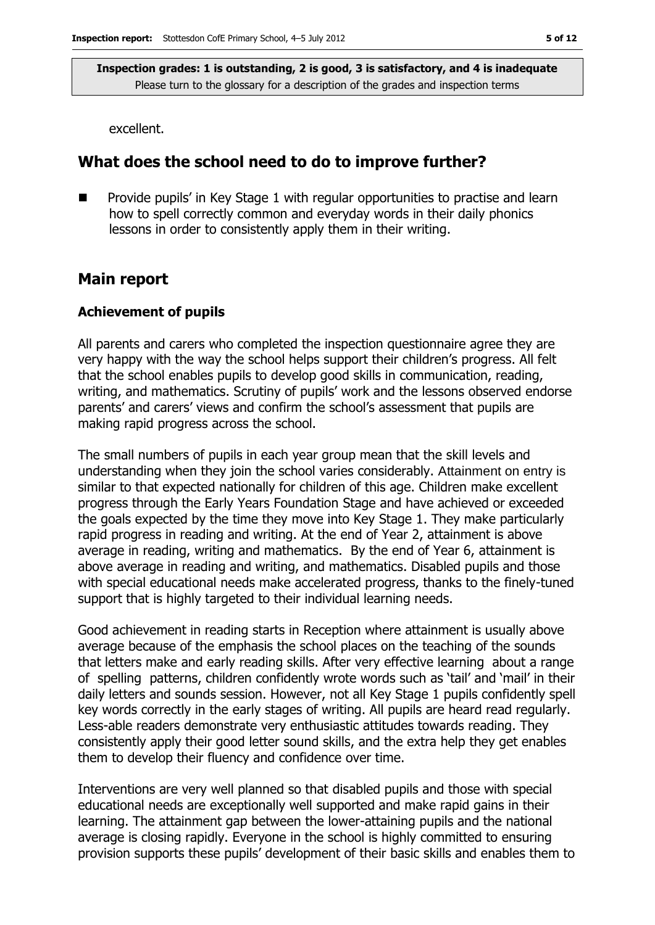excellent.

## **What does the school need to do to improve further?**

 Provide pupils' in Key Stage 1 with regular opportunities to practise and learn how to spell correctly common and everyday words in their daily phonics lessons in order to consistently apply them in their writing.

### **Main report**

#### **Achievement of pupils**

All parents and carers who completed the inspection questionnaire agree they are very happy with the way the school helps support their children's progress. All felt that the school enables pupils to develop good skills in communication, reading, writing, and mathematics. Scrutiny of pupils' work and the lessons observed endorse parents' and carers' views and confirm the school's assessment that pupils are making rapid progress across the school.

The small numbers of pupils in each year group mean that the skill levels and understanding when they join the school varies considerably. Attainment on entry is similar to that expected nationally for children of this age. Children make excellent progress through the Early Years Foundation Stage and have achieved or exceeded the goals expected by the time they move into Key Stage 1. They make particularly rapid progress in reading and writing. At the end of Year 2, attainment is above average in reading, writing and mathematics. By the end of Year 6, attainment is above average in reading and writing, and mathematics. Disabled pupils and those with special educational needs make accelerated progress, thanks to the finely-tuned support that is highly targeted to their individual learning needs.

Good achievement in reading starts in Reception where attainment is usually above average because of the emphasis the school places on the teaching of the sounds that letters make and early reading skills. After very effective learning about a range of spelling patterns, children confidently wrote words such as 'tail' and 'mail' in their daily letters and sounds session. However, not all Key Stage 1 pupils confidently spell key words correctly in the early stages of writing. All pupils are heard read regularly. Less-able readers demonstrate very enthusiastic attitudes towards reading. They consistently apply their good letter sound skills, and the extra help they get enables them to develop their fluency and confidence over time.

Interventions are very well planned so that disabled pupils and those with special educational needs are exceptionally well supported and make rapid gains in their learning. The attainment gap between the lower-attaining pupils and the national average is closing rapidly. Everyone in the school is highly committed to ensuring provision supports these pupils' development of their basic skills and enables them to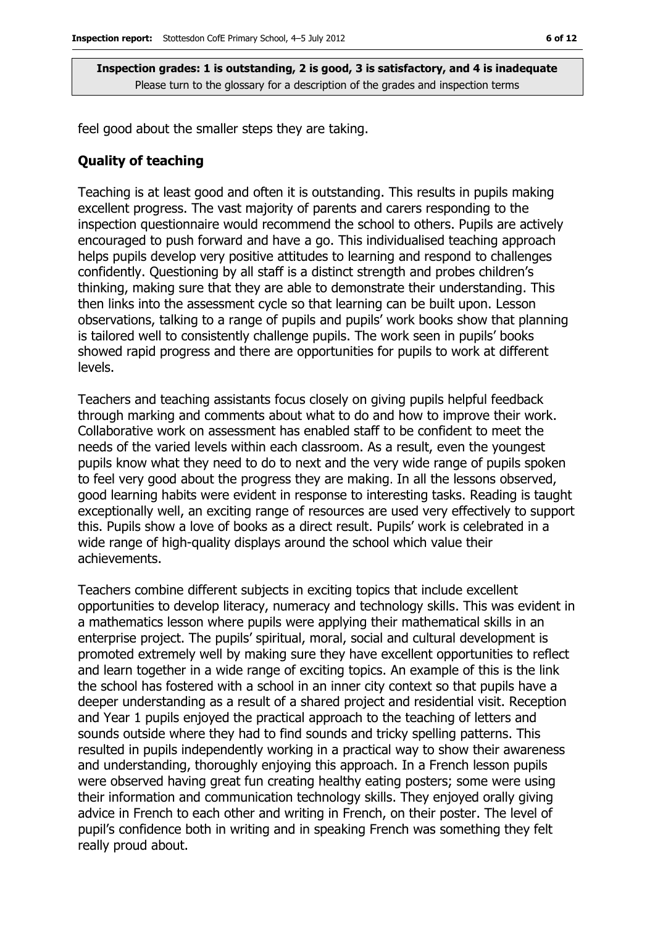feel good about the smaller steps they are taking.

#### **Quality of teaching**

Teaching is at least good and often it is outstanding. This results in pupils making excellent progress. The vast majority of parents and carers responding to the inspection questionnaire would recommend the school to others. Pupils are actively encouraged to push forward and have a go. This individualised teaching approach helps pupils develop very positive attitudes to learning and respond to challenges confidently. Questioning by all staff is a distinct strength and probes children's thinking, making sure that they are able to demonstrate their understanding. This then links into the assessment cycle so that learning can be built upon. Lesson observations, talking to a range of pupils and pupils' work books show that planning is tailored well to consistently challenge pupils. The work seen in pupils' books showed rapid progress and there are opportunities for pupils to work at different levels.

Teachers and teaching assistants focus closely on giving pupils helpful feedback through marking and comments about what to do and how to improve their work. Collaborative work on assessment has enabled staff to be confident to meet the needs of the varied levels within each classroom. As a result, even the youngest pupils know what they need to do to next and the very wide range of pupils spoken to feel very good about the progress they are making. In all the lessons observed, good learning habits were evident in response to interesting tasks. Reading is taught exceptionally well, an exciting range of resources are used very effectively to support this. Pupils show a love of books as a direct result. Pupils' work is celebrated in a wide range of high-quality displays around the school which value their achievements.

Teachers combine different subjects in exciting topics that include excellent opportunities to develop literacy, numeracy and technology skills. This was evident in a mathematics lesson where pupils were applying their mathematical skills in an enterprise project. The pupils' spiritual, moral, social and cultural development is promoted extremely well by making sure they have excellent opportunities to reflect and learn together in a wide range of exciting topics. An example of this is the link the school has fostered with a school in an inner city context so that pupils have a deeper understanding as a result of a shared project and residential visit. Reception and Year 1 pupils enjoyed the practical approach to the teaching of letters and sounds outside where they had to find sounds and tricky spelling patterns. This resulted in pupils independently working in a practical way to show their awareness and understanding, thoroughly enjoying this approach. In a French lesson pupils were observed having great fun creating healthy eating posters; some were using their information and communication technology skills. They enjoyed orally giving advice in French to each other and writing in French, on their poster. The level of pupil's confidence both in writing and in speaking French was something they felt really proud about.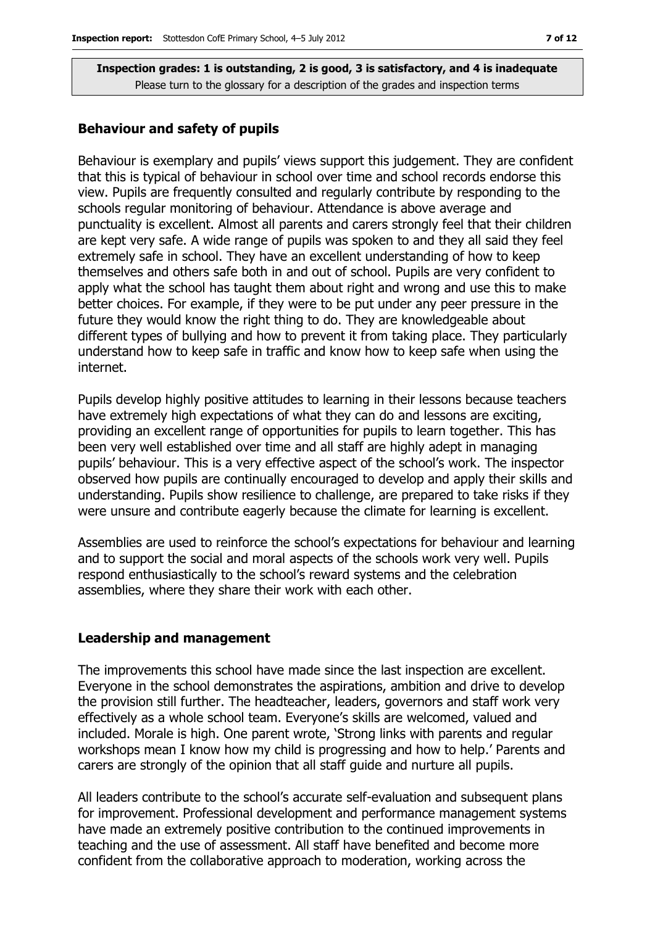#### **Behaviour and safety of pupils**

Behaviour is exemplary and pupils' views support this judgement. They are confident that this is typical of behaviour in school over time and school records endorse this view. Pupils are frequently consulted and regularly contribute by responding to the schools regular monitoring of behaviour. Attendance is above average and punctuality is excellent. Almost all parents and carers strongly feel that their children are kept very safe. A wide range of pupils was spoken to and they all said they feel extremely safe in school. They have an excellent understanding of how to keep themselves and others safe both in and out of school. Pupils are very confident to apply what the school has taught them about right and wrong and use this to make better choices. For example, if they were to be put under any peer pressure in the future they would know the right thing to do. They are knowledgeable about different types of bullying and how to prevent it from taking place. They particularly understand how to keep safe in traffic and know how to keep safe when using the internet.

Pupils develop highly positive attitudes to learning in their lessons because teachers have extremely high expectations of what they can do and lessons are exciting, providing an excellent range of opportunities for pupils to learn together. This has been very well established over time and all staff are highly adept in managing pupils' behaviour. This is a very effective aspect of the school's work. The inspector observed how pupils are continually encouraged to develop and apply their skills and understanding. Pupils show resilience to challenge, are prepared to take risks if they were unsure and contribute eagerly because the climate for learning is excellent.

Assemblies are used to reinforce the school's expectations for behaviour and learning and to support the social and moral aspects of the schools work very well. Pupils respond enthusiastically to the school's reward systems and the celebration assemblies, where they share their work with each other.

#### **Leadership and management**

The improvements this school have made since the last inspection are excellent. Everyone in the school demonstrates the aspirations, ambition and drive to develop the provision still further. The headteacher, leaders, governors and staff work very effectively as a whole school team. Everyone's skills are welcomed, valued and included. Morale is high. One parent wrote, 'Strong links with parents and regular workshops mean I know how my child is progressing and how to help.' Parents and carers are strongly of the opinion that all staff guide and nurture all pupils.

All leaders contribute to the school's accurate self-evaluation and subsequent plans for improvement. Professional development and performance management systems have made an extremely positive contribution to the continued improvements in teaching and the use of assessment. All staff have benefited and become more confident from the collaborative approach to moderation, working across the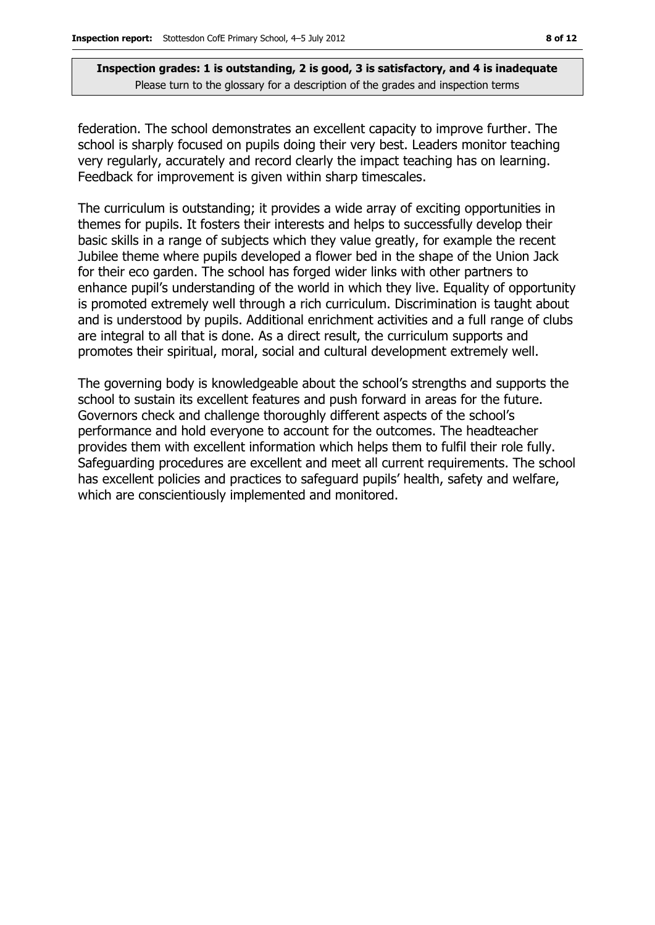federation. The school demonstrates an excellent capacity to improve further. The school is sharply focused on pupils doing their very best. Leaders monitor teaching very regularly, accurately and record clearly the impact teaching has on learning. Feedback for improvement is given within sharp timescales.

The curriculum is outstanding; it provides a wide array of exciting opportunities in themes for pupils. It fosters their interests and helps to successfully develop their basic skills in a range of subjects which they value greatly, for example the recent Jubilee theme where pupils developed a flower bed in the shape of the Union Jack for their eco garden. The school has forged wider links with other partners to enhance pupil's understanding of the world in which they live. Equality of opportunity is promoted extremely well through a rich curriculum. Discrimination is taught about and is understood by pupils. Additional enrichment activities and a full range of clubs are integral to all that is done. As a direct result, the curriculum supports and promotes their spiritual, moral, social and cultural development extremely well.

The governing body is knowledgeable about the school's strengths and supports the school to sustain its excellent features and push forward in areas for the future. Governors check and challenge thoroughly different aspects of the school's performance and hold everyone to account for the outcomes. The headteacher provides them with excellent information which helps them to fulfil their role fully. Safeguarding procedures are excellent and meet all current requirements. The school has excellent policies and practices to safeguard pupils' health, safety and welfare, which are conscientiously implemented and monitored.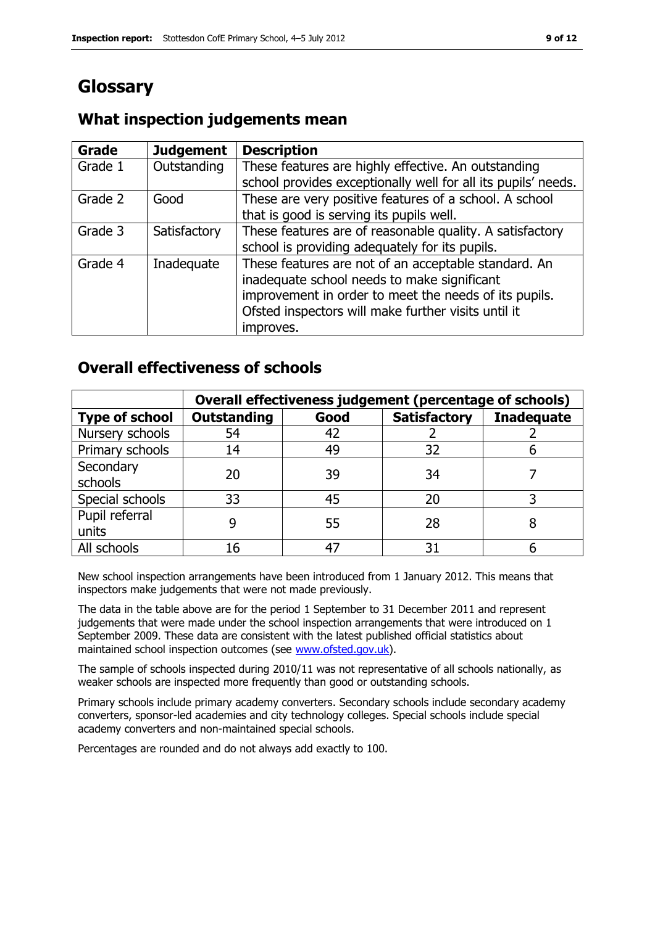# **Glossary**

#### **Grade Judgement Description** Grade  $1$  | Outstanding | These features are highly effective. An outstanding school provides exceptionally well for all its pupils' needs. Grade 2  $\Box$  Good These are very positive features of a school. A school that is good is serving its pupils well. Grade 3  $\parallel$  Satisfactory  $\parallel$  These features are of reasonable quality. A satisfactory school is providing adequately for its pupils. Grade 4 | Inadequate | These features are not of an acceptable standard. An inadequate school needs to make significant improvement in order to meet the needs of its pupils. Ofsted inspectors will make further visits until it improves.

## **What inspection judgements mean**

## **Overall effectiveness of schools**

|                         | Overall effectiveness judgement (percentage of schools) |      |                     |                   |
|-------------------------|---------------------------------------------------------|------|---------------------|-------------------|
| <b>Type of school</b>   | <b>Outstanding</b>                                      | Good | <b>Satisfactory</b> | <b>Inadequate</b> |
| Nursery schools         | 54                                                      | 42   |                     |                   |
| Primary schools         | 14                                                      | 49   | 32                  |                   |
| Secondary<br>schools    | 20                                                      | 39   | 34                  |                   |
| Special schools         | 33                                                      | 45   | 20                  |                   |
| Pupil referral<br>units | 9                                                       | 55   | 28                  |                   |
| All schools             | 16                                                      | 47   | 31                  |                   |

New school inspection arrangements have been introduced from 1 January 2012. This means that inspectors make judgements that were not made previously.

The data in the table above are for the period 1 September to 31 December 2011 and represent judgements that were made under the school inspection arrangements that were introduced on 1 September 2009. These data are consistent with the latest published official statistics about maintained school inspection outcomes (see [www.ofsted.gov.uk\)](http://www.ofsted.gov.uk/).

The sample of schools inspected during 2010/11 was not representative of all schools nationally, as weaker schools are inspected more frequently than good or outstanding schools.

Primary schools include primary academy converters. Secondary schools include secondary academy converters, sponsor-led academies and city technology colleges. Special schools include special academy converters and non-maintained special schools.

Percentages are rounded and do not always add exactly to 100.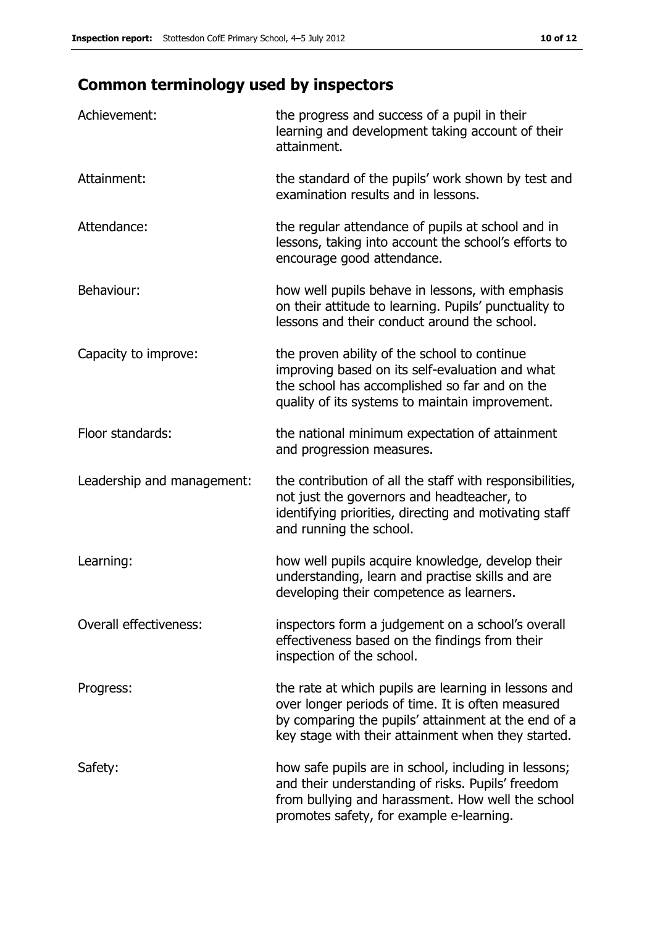# **Common terminology used by inspectors**

| Achievement:               | the progress and success of a pupil in their<br>learning and development taking account of their<br>attainment.                                                                                                        |
|----------------------------|------------------------------------------------------------------------------------------------------------------------------------------------------------------------------------------------------------------------|
| Attainment:                | the standard of the pupils' work shown by test and<br>examination results and in lessons.                                                                                                                              |
| Attendance:                | the regular attendance of pupils at school and in<br>lessons, taking into account the school's efforts to<br>encourage good attendance.                                                                                |
| Behaviour:                 | how well pupils behave in lessons, with emphasis<br>on their attitude to learning. Pupils' punctuality to<br>lessons and their conduct around the school.                                                              |
| Capacity to improve:       | the proven ability of the school to continue<br>improving based on its self-evaluation and what<br>the school has accomplished so far and on the<br>quality of its systems to maintain improvement.                    |
| Floor standards:           | the national minimum expectation of attainment<br>and progression measures.                                                                                                                                            |
| Leadership and management: | the contribution of all the staff with responsibilities,<br>not just the governors and headteacher, to<br>identifying priorities, directing and motivating staff<br>and running the school.                            |
| Learning:                  | how well pupils acquire knowledge, develop their<br>understanding, learn and practise skills and are<br>developing their competence as learners.                                                                       |
| Overall effectiveness:     | inspectors form a judgement on a school's overall<br>effectiveness based on the findings from their<br>inspection of the school.                                                                                       |
| Progress:                  | the rate at which pupils are learning in lessons and<br>over longer periods of time. It is often measured<br>by comparing the pupils' attainment at the end of a<br>key stage with their attainment when they started. |
| Safety:                    | how safe pupils are in school, including in lessons;<br>and their understanding of risks. Pupils' freedom<br>from bullying and harassment. How well the school<br>promotes safety, for example e-learning.             |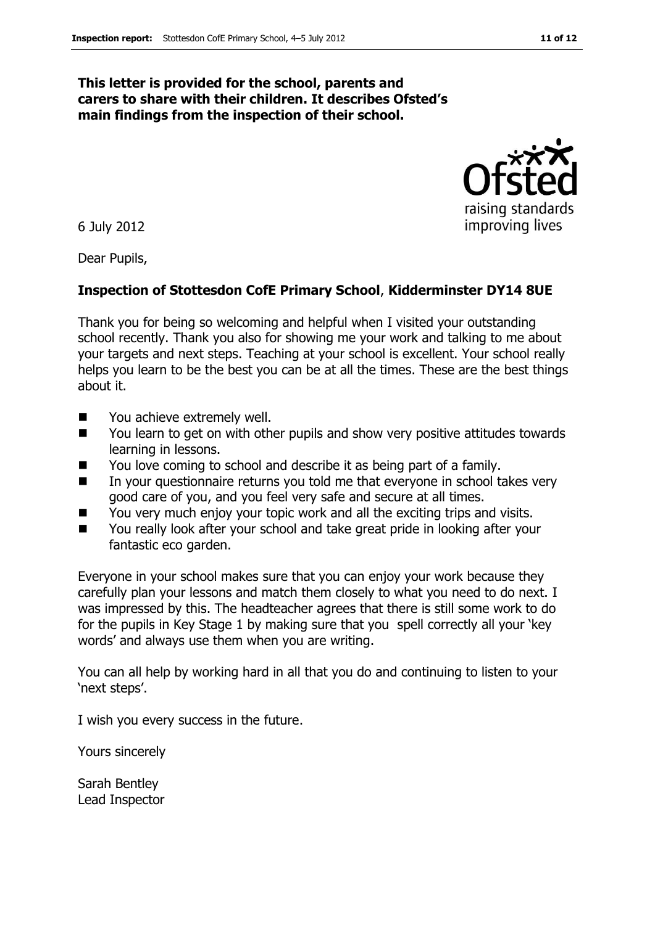#### **This letter is provided for the school, parents and carers to share with their children. It describes Ofsted's main findings from the inspection of their school.**

6 July 2012

Dear Pupils,

#### **Inspection of Stottesdon CofE Primary School**, **Kidderminster DY14 8UE**

Thank you for being so welcoming and helpful when I visited your outstanding school recently. Thank you also for showing me your work and talking to me about your targets and next steps. Teaching at your school is excellent. Your school really helps you learn to be the best you can be at all the times. These are the best things about it.

- You achieve extremely well.
- You learn to get on with other pupils and show very positive attitudes towards learning in lessons.
- You love coming to school and describe it as being part of a family.
- In your questionnaire returns you told me that everyone in school takes very good care of you, and you feel very safe and secure at all times.
- You very much enjoy your topic work and all the exciting trips and visits.
- You really look after your school and take great pride in looking after your fantastic eco garden.

Everyone in your school makes sure that you can enjoy your work because they carefully plan your lessons and match them closely to what you need to do next. I was impressed by this. The headteacher agrees that there is still some work to do for the pupils in Key Stage 1 by making sure that you spell correctly all your 'key words' and always use them when you are writing.

You can all help by working hard in all that you do and continuing to listen to your 'next steps'.

I wish you every success in the future.

Yours sincerely

Sarah Bentley Lead Inspector